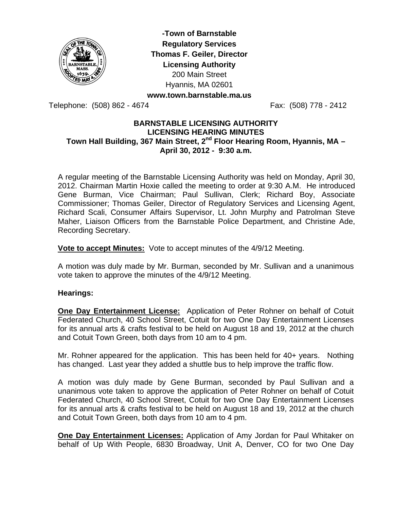

**-Town of Barnstable Regulatory Services Thomas F. Geiler, Director Licensing Authority** 200 Main Street Hyannis, MA 02601 **www.town.barnstable.ma.us** 

Telephone: (508) 862 - 4674 Fax: (508) 778 - 2412

### **BARNSTABLE LICENSING AUTHORITY LICENSING HEARING MINUTES**  Town Hall Building, 367 Main Street, 2<sup>nd</sup> Floor Hearing Room, Hyannis, MA -**April 30, 2012 - 9:30 a.m.**

A regular meeting of the Barnstable Licensing Authority was held on Monday, April 30, 2012. Chairman Martin Hoxie called the meeting to order at 9:30 A.M. He introduced Gene Burman, Vice Chairman; Paul Sullivan, Clerk; Richard Boy, Associate Commissioner; Thomas Geiler, Director of Regulatory Services and Licensing Agent, Richard Scali, Consumer Affairs Supervisor, Lt. John Murphy and Patrolman Steve Maher, Liaison Officers from the Barnstable Police Department, and Christine Ade, Recording Secretary.

**Vote to accept Minutes:** Vote to accept minutes of the 4/9/12 Meeting.

A motion was duly made by Mr. Burman, seconded by Mr. Sullivan and a unanimous vote taken to approve the minutes of the 4/9/12 Meeting.

### **Hearings:**

**One Day Entertainment License:** Application of Peter Rohner on behalf of Cotuit Federated Church, 40 School Street, Cotuit for two One Day Entertainment Licenses for its annual arts & crafts festival to be held on August 18 and 19, 2012 at the church and Cotuit Town Green, both days from 10 am to 4 pm.

Mr. Rohner appeared for the application. This has been held for 40+ years. Nothing has changed. Last year they added a shuttle bus to help improve the traffic flow.

A motion was duly made by Gene Burman, seconded by Paul Sullivan and a unanimous vote taken to approve the application of Peter Rohner on behalf of Cotuit Federated Church, 40 School Street, Cotuit for two One Day Entertainment Licenses for its annual arts & crafts festival to be held on August 18 and 19, 2012 at the church and Cotuit Town Green, both days from 10 am to 4 pm.

**One Day Entertainment Licenses:** Application of Amy Jordan for Paul Whitaker on behalf of Up With People, 6830 Broadway, Unit A, Denver, CO for two One Day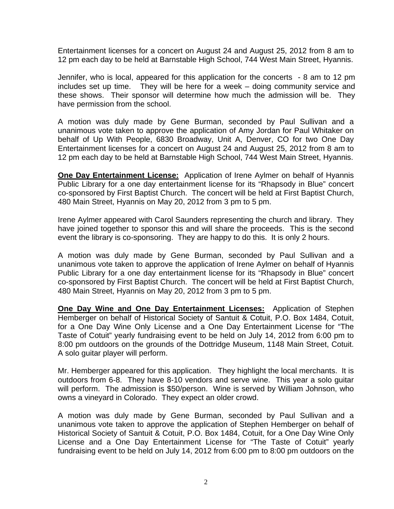Entertainment licenses for a concert on August 24 and August 25, 2012 from 8 am to 12 pm each day to be held at Barnstable High School, 744 West Main Street, Hyannis.

Jennifer, who is local, appeared for this application for the concerts - 8 am to 12 pm includes set up time. They will be here for a week – doing community service and these shows. Their sponsor will determine how much the admission will be. They have permission from the school.

A motion was duly made by Gene Burman, seconded by Paul Sullivan and a unanimous vote taken to approve the application of Amy Jordan for Paul Whitaker on behalf of Up With People, 6830 Broadway, Unit A, Denver, CO for two One Day Entertainment licenses for a concert on August 24 and August 25, 2012 from 8 am to 12 pm each day to be held at Barnstable High School, 744 West Main Street, Hyannis.

**One Day Entertainment License:** Application of Irene Aylmer on behalf of Hyannis Public Library for a one day entertainment license for its "Rhapsody in Blue" concert co-sponsored by First Baptist Church. The concert will be held at First Baptist Church, 480 Main Street, Hyannis on May 20, 2012 from 3 pm to 5 pm.

Irene Aylmer appeared with Carol Saunders representing the church and library. They have joined together to sponsor this and will share the proceeds. This is the second event the library is co-sponsoring. They are happy to do this. It is only 2 hours.

A motion was duly made by Gene Burman, seconded by Paul Sullivan and a unanimous vote taken to approve the application of Irene Aylmer on behalf of Hyannis Public Library for a one day entertainment license for its "Rhapsody in Blue" concert co-sponsored by First Baptist Church. The concert will be held at First Baptist Church, 480 Main Street, Hyannis on May 20, 2012 from 3 pm to 5 pm.

**One Day Wine and One Day Entertainment Licenses:** Application of Stephen Hemberger on behalf of Historical Society of Santuit & Cotuit, P.O. Box 1484, Cotuit, for a One Day Wine Only License and a One Day Entertainment License for "The Taste of Cotuit" yearly fundraising event to be held on July 14, 2012 from 6:00 pm to 8:00 pm outdoors on the grounds of the Dottridge Museum, 1148 Main Street, Cotuit. A solo guitar player will perform.

Mr. Hemberger appeared for this application. They highlight the local merchants. It is outdoors from 6-8. They have 8-10 vendors and serve wine. This year a solo guitar will perform. The admission is \$50/person. Wine is served by William Johnson, who owns a vineyard in Colorado. They expect an older crowd.

A motion was duly made by Gene Burman, seconded by Paul Sullivan and a unanimous vote taken to approve the application of Stephen Hemberger on behalf of Historical Society of Santuit & Cotuit, P.O. Box 1484, Cotuit, for a One Day Wine Only License and a One Day Entertainment License for "The Taste of Cotuit" yearly fundraising event to be held on July 14, 2012 from 6:00 pm to 8:00 pm outdoors on the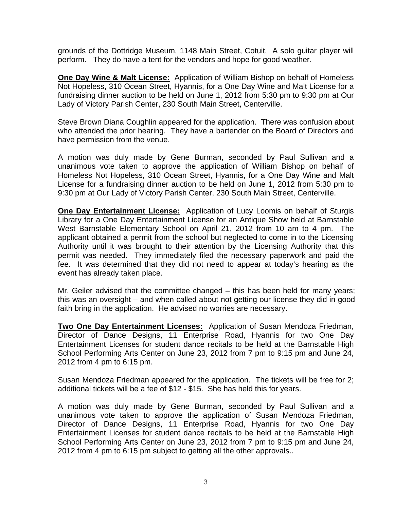grounds of the Dottridge Museum, 1148 Main Street, Cotuit. A solo guitar player will perform. They do have a tent for the vendors and hope for good weather.

**One Day Wine & Malt License:** Application of William Bishop on behalf of Homeless Not Hopeless, 310 Ocean Street, Hyannis, for a One Day Wine and Malt License for a fundraising dinner auction to be held on June 1, 2012 from 5:30 pm to 9:30 pm at Our Lady of Victory Parish Center, 230 South Main Street, Centerville.

Steve Brown Diana Coughlin appeared for the application. There was confusion about who attended the prior hearing. They have a bartender on the Board of Directors and have permission from the venue.

A motion was duly made by Gene Burman, seconded by Paul Sullivan and a unanimous vote taken to approve the application of William Bishop on behalf of Homeless Not Hopeless, 310 Ocean Street, Hyannis, for a One Day Wine and Malt License for a fundraising dinner auction to be held on June 1, 2012 from 5:30 pm to 9:30 pm at Our Lady of Victory Parish Center, 230 South Main Street, Centerville.

**One Day Entertainment License:** Application of Lucy Loomis on behalf of Sturgis Library for a One Day Entertainment License for an Antique Show held at Barnstable West Barnstable Elementary School on April 21, 2012 from 10 am to 4 pm. The applicant obtained a permit from the school but neglected to come in to the Licensing Authority until it was brought to their attention by the Licensing Authority that this permit was needed. They immediately filed the necessary paperwork and paid the fee. It was determined that they did not need to appear at today's hearing as the event has already taken place.

Mr. Geiler advised that the committee changed – this has been held for many years; this was an oversight – and when called about not getting our license they did in good faith bring in the application. He advised no worries are necessary.

**Two One Day Entertainment Licenses:** Application of Susan Mendoza Friedman, Director of Dance Designs, 11 Enterprise Road, Hyannis for two One Day Entertainment Licenses for student dance recitals to be held at the Barnstable High School Performing Arts Center on June 23, 2012 from 7 pm to 9:15 pm and June 24, 2012 from 4 pm to 6:15 pm.

Susan Mendoza Friedman appeared for the application. The tickets will be free for 2; additional tickets will be a fee of \$12 - \$15. She has held this for years.

A motion was duly made by Gene Burman, seconded by Paul Sullivan and a unanimous vote taken to approve the application of Susan Mendoza Friedman, Director of Dance Designs, 11 Enterprise Road, Hyannis for two One Day Entertainment Licenses for student dance recitals to be held at the Barnstable High School Performing Arts Center on June 23, 2012 from 7 pm to 9:15 pm and June 24, 2012 from 4 pm to 6:15 pm subject to getting all the other approvals..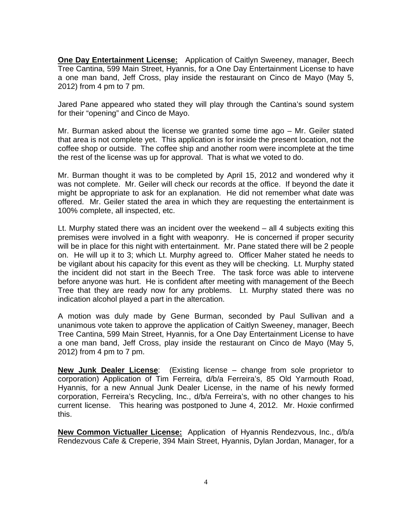**One Day Entertainment License:** Application of Caitlyn Sweeney, manager, Beech Tree Cantina, 599 Main Street, Hyannis, for a One Day Entertainment License to have a one man band, Jeff Cross, play inside the restaurant on Cinco de Mayo (May 5, 2012) from 4 pm to 7 pm.

Jared Pane appeared who stated they will play through the Cantina's sound system for their "opening" and Cinco de Mayo.

Mr. Burman asked about the license we granted some time ago – Mr. Geiler stated that area is not complete yet. This application is for inside the present location, not the coffee shop or outside. The coffee ship and another room were incomplete at the time the rest of the license was up for approval. That is what we voted to do.

Mr. Burman thought it was to be completed by April 15, 2012 and wondered why it was not complete. Mr. Geiler will check our records at the office. If beyond the date it might be appropriate to ask for an explanation. He did not remember what date was offered. Mr. Geiler stated the area in which they are requesting the entertainment is 100% complete, all inspected, etc.

Lt. Murphy stated there was an incident over the weekend – all 4 subjects exiting this premises were involved in a fight with weaponry. He is concerned if proper security will be in place for this night with entertainment. Mr. Pane stated there will be 2 people on. He will up it to 3; which Lt. Murphy agreed to. Officer Maher stated he needs to be vigilant about his capacity for this event as they will be checking. Lt. Murphy stated the incident did not start in the Beech Tree. The task force was able to intervene before anyone was hurt. He is confident after meeting with management of the Beech Tree that they are ready now for any problems. Lt. Murphy stated there was no indication alcohol played a part in the altercation.

A motion was duly made by Gene Burman, seconded by Paul Sullivan and a unanimous vote taken to approve the application of Caitlyn Sweeney, manager, Beech Tree Cantina, 599 Main Street, Hyannis, for a One Day Entertainment License to have a one man band, Jeff Cross, play inside the restaurant on Cinco de Mayo (May 5, 2012) from 4 pm to 7 pm.

**New Junk Dealer License**: (Existing license – change from sole proprietor to corporation) Application of Tim Ferreira, d/b/a Ferreira's, 85 Old Yarmouth Road, Hyannis, for a new Annual Junk Dealer License, in the name of his newly formed corporation, Ferreira's Recycling, Inc., d/b/a Ferreira's, with no other changes to his current license. This hearing was postponed to June 4, 2012. Mr. Hoxie confirmed this.

**New Common Victualler License:** Application of Hyannis Rendezvous, Inc., d/b/a Rendezvous Cafe & Creperie, 394 Main Street, Hyannis, Dylan Jordan, Manager, for a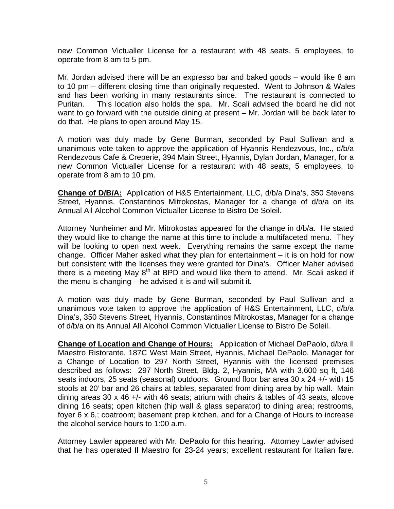new Common Victualler License for a restaurant with 48 seats, 5 employees, to operate from 8 am to 5 pm.

Mr. Jordan advised there will be an expresso bar and baked goods – would like 8 am to 10 pm – different closing time than originally requested. Went to Johnson & Wales and has been working in many restaurants since. The restaurant is connected to Puritan. This location also holds the spa. Mr. Scali advised the board he did not want to go forward with the outside dining at present – Mr. Jordan will be back later to do that. He plans to open around May 15.

A motion was duly made by Gene Burman, seconded by Paul Sullivan and a unanimous vote taken to approve the application of Hyannis Rendezvous, Inc., d/b/a Rendezvous Cafe & Creperie, 394 Main Street, Hyannis, Dylan Jordan, Manager, for a new Common Victualler License for a restaurant with 48 seats, 5 employees, to operate from 8 am to 10 pm.

**Change of D/B/A:** Application of H&S Entertainment, LLC, d/b/a Dina's, 350 Stevens Street, Hyannis, Constantinos Mitrokostas, Manager for a change of d/b/a on its Annual All Alcohol Common Victualler License to Bistro De Soleil.

Attorney Nunheimer and Mr. Mitrokostas appeared for the change in d/b/a. He stated they would like to change the name at this time to include a multifaceted menu. They will be looking to open next week. Everything remains the same except the name change. Officer Maher asked what they plan for entertainment – it is on hold for now but consistent with the licenses they were granted for Dina's. Officer Maher advised there is a meeting May  $8<sup>th</sup>$  at BPD and would like them to attend. Mr. Scali asked if the menu is changing – he advised it is and will submit it.

A motion was duly made by Gene Burman, seconded by Paul Sullivan and a unanimous vote taken to approve the application of H&S Entertainment, LLC, d/b/a Dina's, 350 Stevens Street, Hyannis, Constantinos Mitrokostas, Manager for a change of d/b/a on its Annual All Alcohol Common Victualler License to Bistro De Soleil.

**Change of Location and Change of Hours:** Application of Michael DePaolo, d/b/a Il Maestro Ristorante, 187C West Main Street, Hyannis, Michael DePaolo, Manager for a Change of Location to 297 North Street, Hyannis with the licensed premises described as follows: 297 North Street, Bldg. 2, Hyannis, MA with 3,600 sq ft, 146 seats indoors, 25 seats (seasonal) outdoors. Ground floor bar area 30 x 24 +/- with 15 stools at 20' bar and 26 chairs at tables, separated from dining area by hip wall. Main dining areas 30 x 46 +/- with 46 seats; atrium with chairs & tables of 43 seats, alcove dining 16 seats; open kitchen (hip wall & glass separator) to dining area; restrooms, foyer 6 x 6,; coatroom; basement prep kitchen, and for a Change of Hours to increase the alcohol service hours to 1:00 a.m.

Attorney Lawler appeared with Mr. DePaolo for this hearing. Attorney Lawler advised that he has operated Il Maestro for 23-24 years; excellent restaurant for Italian fare.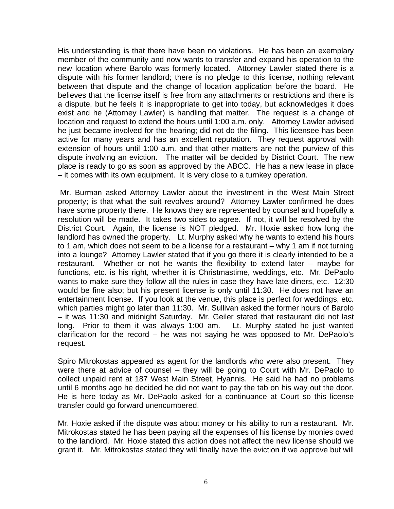His understanding is that there have been no violations. He has been an exemplary member of the community and now wants to transfer and expand his operation to the new location where Barolo was formerly located. Attorney Lawler stated there is a dispute with his former landlord; there is no pledge to this license, nothing relevant between that dispute and the change of location application before the board. He believes that the license itself is free from any attachments or restrictions and there is a dispute, but he feels it is inappropriate to get into today, but acknowledges it does exist and he (Attorney Lawler) is handling that matter. The request is a change of location and request to extend the hours until 1:00 a.m. only. Attorney Lawler advised he just became involved for the hearing; did not do the filing. This licensee has been active for many years and has an excellent reputation. They request approval with extension of hours until 1:00 a.m. and that other matters are not the purview of this dispute involving an eviction. The matter will be decided by District Court. The new place is ready to go as soon as approved by the ABCC. He has a new lease in place – it comes with its own equipment. It is very close to a turnkey operation.

 Mr. Burman asked Attorney Lawler about the investment in the West Main Street property; is that what the suit revolves around? Attorney Lawler confirmed he does have some property there. He knows they are represented by counsel and hopefully a resolution will be made. It takes two sides to agree. If not, it will be resolved by the District Court. Again, the license is NOT pledged. Mr. Hoxie asked how long the landlord has owned the property. Lt. Murphy asked why he wants to extend his hours to 1 am, which does not seem to be a license for a restaurant – why 1 am if not turning into a lounge? Attorney Lawler stated that if you go there it is clearly intended to be a restaurant. Whether or not he wants the flexibility to extend later – maybe for functions, etc. is his right, whether it is Christmastime, weddings, etc. Mr. DePaolo wants to make sure they follow all the rules in case they have late diners, etc. 12:30 would be fine also; but his present license is only until 11:30. He does not have an entertainment license. If you look at the venue, this place is perfect for weddings, etc. which parties might go later than 11:30. Mr. Sullivan asked the former hours of Barolo – it was 11:30 and midnight Saturday. Mr. Geiler stated that restaurant did not last long. Prior to them it was always 1:00 am. Lt. Murphy stated he just wanted clarification for the record – he was not saying he was opposed to Mr. DePaolo's request.

Spiro Mitrokostas appeared as agent for the landlords who were also present. They were there at advice of counsel – they will be going to Court with Mr. DePaolo to collect unpaid rent at 187 West Main Street, Hyannis. He said he had no problems until 6 months ago he decided he did not want to pay the tab on his way out the door. He is here today as Mr. DePaolo asked for a continuance at Court so this license transfer could go forward unencumbered.

Mr. Hoxie asked if the dispute was about money or his ability to run a restaurant. Mr. Mitrokostas stated he has been paying all the expenses of his license by monies owed to the landlord. Mr. Hoxie stated this action does not affect the new license should we grant it. Mr. Mitrokostas stated they will finally have the eviction if we approve but will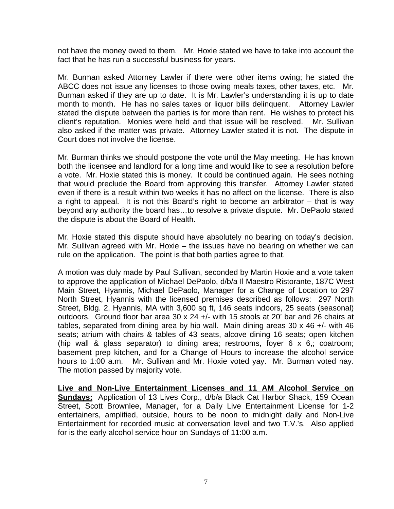not have the money owed to them. Mr. Hoxie stated we have to take into account the fact that he has run a successful business for years.

Mr. Burman asked Attorney Lawler if there were other items owing; he stated the ABCC does not issue any licenses to those owing meals taxes, other taxes, etc. Mr. Burman asked if they are up to date. It is Mr. Lawler's understanding it is up to date month to month. He has no sales taxes or liquor bills delinquent. Attorney Lawler stated the dispute between the parties is for more than rent. He wishes to protect his client's reputation. Monies were held and that issue will be resolved. Mr. Sullivan also asked if the matter was private. Attorney Lawler stated it is not. The dispute in Court does not involve the license.

Mr. Burman thinks we should postpone the vote until the May meeting. He has known both the licensee and landlord for a long time and would like to see a resolution before a vote. Mr. Hoxie stated this is money. It could be continued again. He sees nothing that would preclude the Board from approving this transfer. Attorney Lawler stated even if there is a result within two weeks it has no affect on the license. There is also a right to appeal. It is not this Board's right to become an arbitrator – that is way beyond any authority the board has…to resolve a private dispute. Mr. DePaolo stated the dispute is about the Board of Health.

Mr. Hoxie stated this dispute should have absolutely no bearing on today's decision. Mr. Sullivan agreed with Mr. Hoxie – the issues have no bearing on whether we can rule on the application. The point is that both parties agree to that.

A motion was duly made by Paul Sullivan, seconded by Martin Hoxie and a vote taken to approve the application of Michael DePaolo, d/b/a Il Maestro Ristorante, 187C West Main Street, Hyannis, Michael DePaolo, Manager for a Change of Location to 297 North Street, Hyannis with the licensed premises described as follows: 297 North Street, Bldg. 2, Hyannis, MA with 3,600 sq ft, 146 seats indoors, 25 seats (seasonal) outdoors. Ground floor bar area 30 x 24 +/- with 15 stools at 20' bar and 26 chairs at tables, separated from dining area by hip wall. Main dining areas 30 x 46 +/- with 46 seats; atrium with chairs & tables of 43 seats, alcove dining 16 seats; open kitchen (hip wall & glass separator) to dining area; restrooms, foyer 6 x 6,; coatroom; basement prep kitchen, and for a Change of Hours to increase the alcohol service hours to 1:00 a.m. Mr. Sullivan and Mr. Hoxie voted yay. Mr. Burman voted nay. The motion passed by majority vote.

**Live and Non-Live Entertainment Licenses and 11 AM Alcohol Service on Sundays:** Application of 13 Lives Corp., d/b/a Black Cat Harbor Shack, 159 Ocean Street, Scott Brownlee, Manager, for a Daily Live Entertainment License for 1-2 entertainers, amplified, outside, hours to be noon to midnight daily and Non-Live Entertainment for recorded music at conversation level and two T.V.'s. Also applied for is the early alcohol service hour on Sundays of 11:00 a.m.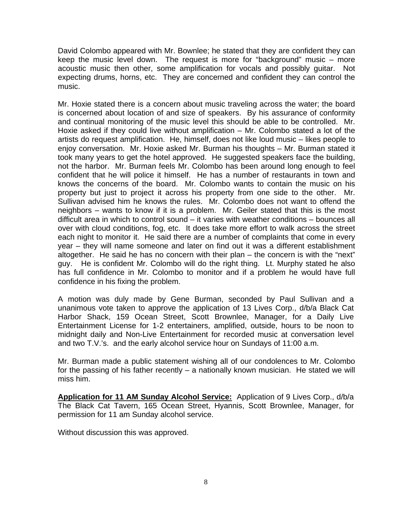David Colombo appeared with Mr. Bownlee; he stated that they are confident they can keep the music level down. The request is more for "background" music – more acoustic music then other, some amplification for vocals and possibly guitar. Not expecting drums, horns, etc. They are concerned and confident they can control the music.

Mr. Hoxie stated there is a concern about music traveling across the water; the board is concerned about location of and size of speakers. By his assurance of conformity and continual monitoring of the music level this should be able to be controlled. Mr. Hoxie asked if they could live without amplification – Mr. Colombo stated a lot of the artists do request amplification. He, himself, does not like loud music – likes people to enjoy conversation. Mr. Hoxie asked Mr. Burman his thoughts – Mr. Burman stated it took many years to get the hotel approved. He suggested speakers face the building, not the harbor. Mr. Burman feels Mr. Colombo has been around long enough to feel confident that he will police it himself. He has a number of restaurants in town and knows the concerns of the board. Mr. Colombo wants to contain the music on his property but just to project it across his property from one side to the other. Mr. Sullivan advised him he knows the rules. Mr. Colombo does not want to offend the neighbors – wants to know if it is a problem. Mr. Geiler stated that this is the most difficult area in which to control sound – it varies with weather conditions – bounces all over with cloud conditions, fog, etc. It does take more effort to walk across the street each night to monitor it. He said there are a number of complaints that come in every year – they will name someone and later on find out it was a different establishment altogether. He said he has no concern with their plan – the concern is with the "next" guy. He is confident Mr. Colombo will do the right thing. Lt. Murphy stated he also has full confidence in Mr. Colombo to monitor and if a problem he would have full confidence in his fixing the problem.

A motion was duly made by Gene Burman, seconded by Paul Sullivan and a unanimous vote taken to approve the application of 13 Lives Corp., d/b/a Black Cat Harbor Shack, 159 Ocean Street, Scott Brownlee, Manager, for a Daily Live Entertainment License for 1-2 entertainers, amplified, outside, hours to be noon to midnight daily and Non-Live Entertainment for recorded music at conversation level and two T.V.'s. and the early alcohol service hour on Sundays of 11:00 a.m.

Mr. Burman made a public statement wishing all of our condolences to Mr. Colombo for the passing of his father recently – a nationally known musician. He stated we will miss him.

**Application for 11 AM Sunday Alcohol Service:** Application of 9 Lives Corp., d/b/a The Black Cat Tavern, 165 Ocean Street, Hyannis, Scott Brownlee, Manager, for permission for 11 am Sunday alcohol service.

Without discussion this was approved.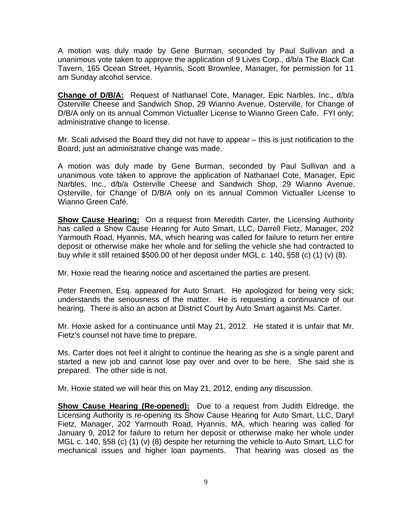A motion was duly made by Gene Burman, seconded by Paul Sullivan and a unanimous vote taken to approve the application of 9 Lives Corp., d/b/a The Black Cat Tavern, 165 Ocean Street, Hyannis, Scott Brownlee, Manager, for permission for 11 am Sunday alcohol service.

**Change of D/B/A:** Request of Nathanael Cote, Manager, Epic Narbles, Inc., d/b/a Osterville Cheese and Sandwich Shop, 29 Wianno Avenue, Osterville, for Change of D/B/A only on its annual Common Victualler License to Wianno Green Cafe. FYI only; administrative change to license.

Mr. Scali advised the Board they did not have to appear – this is just notification to the Board; just an administrative change was made.

A motion was duly made by Gene Burman, seconded by Paul Sullivan and a unanimous vote taken to approve the application of Nathanael Cote, Manager, Epic Narbles, Inc., d/b/a Osterville Cheese and Sandwich Shop, 29 Wianno Avenue, Osterville, for Change of D/B/A only on its annual Common Victualler License to Wianno Green Café.

**Show Cause Hearing:** On a request from Meredith Carter, the Licensing Authority has called a Show Cause Hearing for Auto Smart, LLC, Darrell Fietz, Manager, 202 Yarmouth Road, Hyannis, MA, which hearing was called for failure to return her entire deposit or otherwise make her whole and for selling the vehicle she had contracted to buy while it still retained \$500.00 of her deposit under MGL c. 140, §58 (c) (1) (v) (8).

Mr. Hoxie read the hearing notice and ascertained the parties are present.

Peter Freemen, Esq. appeared for Auto Smart. He apologized for being very sick; understands the seriousness of the matter. He is requesting a continuance of our hearing. There is also an action at District Court by Auto Smart against Ms. Carter.

Mr. Hoxie asked for a continuance until May 21, 2012. He stated it is unfair that Mr. Fietz's counsel not have time to prepare.

Ms. Carter does not feel it alright to continue the hearing as she is a single parent and started a new job and cannot lose pay over and over to be here. She said she is prepared. The other side is not.

Mr. Hoxie stated we will hear this on May 21, 2012, ending any discussion.

**Show Cause Hearing (Re-opened):** Due to a request from Judith Eldredge, the Licensing Authority is re-opening its Show Cause Hearing for Auto Smart, LLC, Daryl Fietz, Manager, 202 Yarmouth Road, Hyannis, MA, which hearing was called for January 9, 2012 for failure to return her deposit or otherwise make her whole under MGL c. 140, §58 (c) (1) (v) (8) despite her returning the vehicle to Auto Smart, LLC for mechanical issues and higher loan payments. That hearing was closed as the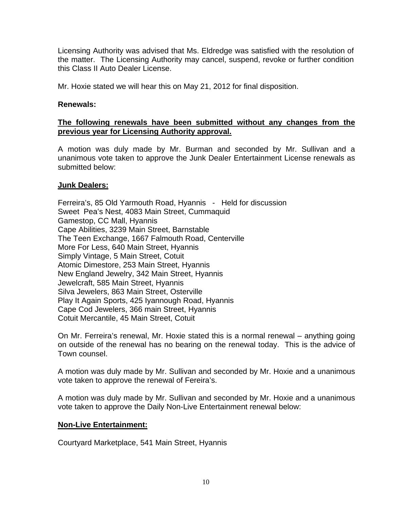Licensing Authority was advised that Ms. Eldredge was satisfied with the resolution of the matter. The Licensing Authority may cancel, suspend, revoke or further condition this Class II Auto Dealer License.

Mr. Hoxie stated we will hear this on May 21, 2012 for final disposition.

# **Renewals:**

# **The following renewals have been submitted without any changes from the previous year for Licensing Authority approval.**

A motion was duly made by Mr. Burman and seconded by Mr. Sullivan and a unanimous vote taken to approve the Junk Dealer Entertainment License renewals as submitted below:

### **Junk Dealers:**

Ferreira's, 85 Old Yarmouth Road, Hyannis - Held for discussion Sweet Pea's Nest, 4083 Main Street, Cummaquid Gamestop, CC Mall, Hyannis Cape Abilities, 3239 Main Street, Barnstable The Teen Exchange, 1667 Falmouth Road, Centerville More For Less, 640 Main Street, Hyannis Simply Vintage, 5 Main Street, Cotuit Atomic Dimestore, 253 Main Street, Hyannis New England Jewelry, 342 Main Street, Hyannis Jewelcraft, 585 Main Street, Hyannis Silva Jewelers, 863 Main Street, Osterville Play It Again Sports, 425 Iyannough Road, Hyannis Cape Cod Jewelers, 366 main Street, Hyannis Cotuit Mercantile, 45 Main Street, Cotuit

On Mr. Ferreira's renewal, Mr. Hoxie stated this is a normal renewal – anything going on outside of the renewal has no bearing on the renewal today. This is the advice of Town counsel.

A motion was duly made by Mr. Sullivan and seconded by Mr. Hoxie and a unanimous vote taken to approve the renewal of Fereira's.

A motion was duly made by Mr. Sullivan and seconded by Mr. Hoxie and a unanimous vote taken to approve the Daily Non-Live Entertainment renewal below:

### **Non-Live Entertainment:**

Courtyard Marketplace, 541 Main Street, Hyannis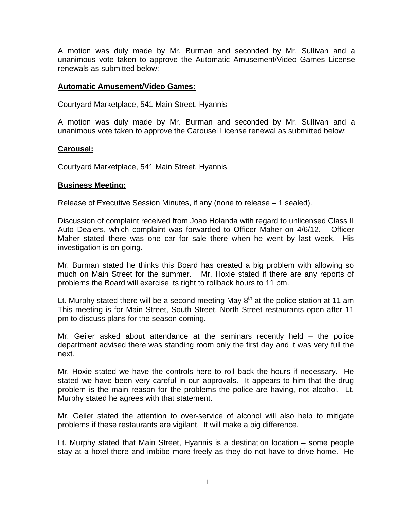A motion was duly made by Mr. Burman and seconded by Mr. Sullivan and a unanimous vote taken to approve the Automatic Amusement/Video Games License renewals as submitted below:

#### **Automatic Amusement/Video Games:**

Courtyard Marketplace, 541 Main Street, Hyannis

A motion was duly made by Mr. Burman and seconded by Mr. Sullivan and a unanimous vote taken to approve the Carousel License renewal as submitted below:

#### **Carousel:**

Courtyard Marketplace, 541 Main Street, Hyannis

#### **Business Meeting:**

Release of Executive Session Minutes, if any (none to release – 1 sealed).

Discussion of complaint received from Joao Holanda with regard to unlicensed Class II Auto Dealers, which complaint was forwarded to Officer Maher on 4/6/12. Officer Maher stated there was one car for sale there when he went by last week. His investigation is on-going.

Mr. Burman stated he thinks this Board has created a big problem with allowing so much on Main Street for the summer. Mr. Hoxie stated if there are any reports of problems the Board will exercise its right to rollback hours to 11 pm.

Lt. Murphy stated there will be a second meeting May  $8<sup>th</sup>$  at the police station at 11 am This meeting is for Main Street, South Street, North Street restaurants open after 11 pm to discuss plans for the season coming.

Mr. Geiler asked about attendance at the seminars recently held – the police department advised there was standing room only the first day and it was very full the next.

Mr. Hoxie stated we have the controls here to roll back the hours if necessary. He stated we have been very careful in our approvals. It appears to him that the drug problem is the main reason for the problems the police are having, not alcohol. Lt. Murphy stated he agrees with that statement.

Mr. Geiler stated the attention to over-service of alcohol will also help to mitigate problems if these restaurants are vigilant. It will make a big difference.

Lt. Murphy stated that Main Street, Hyannis is a destination location – some people stay at a hotel there and imbibe more freely as they do not have to drive home. He